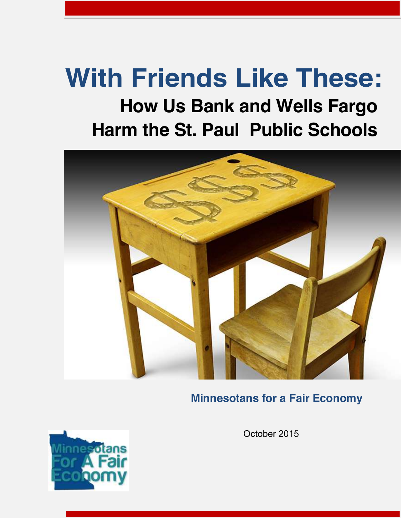# **With Friends Like These: How Us Bank and Wells Fargo**

## **Harm the St. Paul Public Schools**



### **Minnesotans for a Fair Economy**



October 2015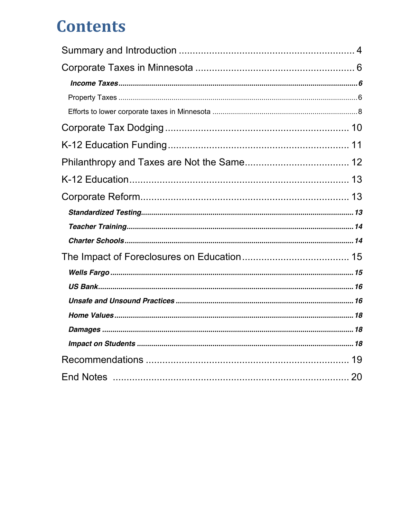## **Contents**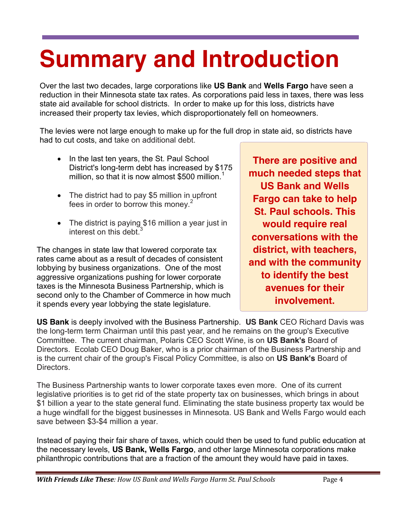# <span id="page-3-0"></span>**Summary and Introduction**

Over the last two decades, large corporations like **US Bank** and **Wells Fargo** have seen a reduction in their Minnesota state tax rates. As corporations paid less in taxes, there was less state aid available for school districts. In order to make up for this loss, districts have increased their property tax levies, which disproportionately fell on homeowners.

The levies were not large enough to make up for the full drop in state aid, so districts have had to cut costs, and take on additional debt.

- In the last ten years, the St. Paul School District's long-term debt has increased by \$175 million, so that it is now almost \$500 million.<sup>1</sup>
- $\bullet$  The district had to pay \$5 million in upfront fees in order to borrow this money. $2$
- $\bullet$  The district is paying \$16 million a year just in interest on this debt  $3$

The changes in state law that lowered corporate tax rates came about as a result of decades of consistent lobbying by business organizations. One of the most aggressive organizations pushing for lower corporate taxes is the Minnesota Business Partnership, which is second only to the Chamber of Commerce in how much it spends every year lobbying the state legislature.

**There are positive and much needed steps that US Bank and Wells Fargo can take to help St. Paul schools. This would require real conversations with the district, with teachers, and with the community to identify the best avenues for their involvement.**

**US Bank** is deeply involved with the Business Partnership. **US Bank** CEO Richard Davis was the long-term term Chairman until this past year, and he remains on the group's Executive Committee. The current chairman, Polaris CEO Scott Wine, is on **US Bank's** Board of Directors. Ecolab CEO Doug Baker, who is a prior chairman of the Business Partnership and is the current chair of the group's Fiscal Policy Committee, is also on **US Bank's** Board of Directors.

The Business Partnership wants to lower corporate taxes even more. One of its current legislative priorities is to get rid of the state property tax on businesses, which brings in about \$1 billion a year to the state general fund. Eliminating the state business property tax would be a huge windfall for the biggest businesses in Minnesota. US Bank and Wells Fargo would each save between \$3-\$4 million a year.

Instead of paying their fair share of taxes, which could then be used to fund public education at the necessary levels, **US Bank, Wells Fargo**, and other large Minnesota corporations make philanthropic contributions that are a fraction of the amount they would have paid in taxes.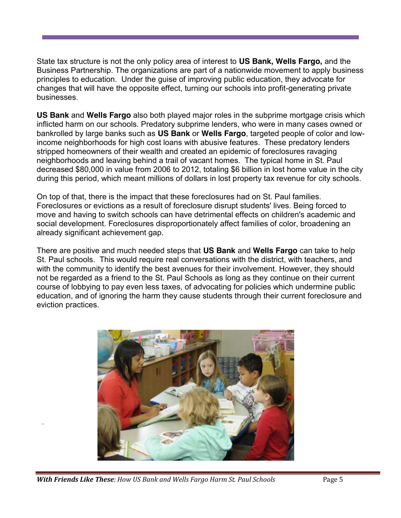State tax structure is not the only policy area of interest to **US Bank, Wells Fargo,** and the Business Partnership. The organizations are part of a nationwide movement to apply business principles to education. Under the guise of improving public education, they advocate for changes that will have the opposite effect, turning our schools into profit-generating private businesses.

**US Bank** and **Wells Fargo** also both played major roles in the subprime mortgage crisis which inflicted harm on our schools. Predatory subprime lenders, who were in many cases owned or bankrolled by large banks such as **US Bank** or **Wells Fargo**, targeted people of color and lowincome neighborhoods for high cost loans with abusive features. These predatory lenders stripped homeowners of their wealth and created an epidemic of foreclosures ravaging neighborhoods and leaving behind a trail of vacant homes. The typical home in St. Paul decreased \$80,000 in value from 2006 to 2012, totaling \$6 billion in lost home value in the city during this period, which meant millions of dollars in lost property tax revenue for city schools.

On top of that, there is the impact that these foreclosures had on St. Paul families. Foreclosures or evictions as a result of foreclosure disrupt students' lives. Being forced to move and having to switch schools can have detrimental effects on children's academic and social development. Foreclosures disproportionately affect families of color, broadening an already significant achievement gap.

There are positive and much needed steps that **US Bank** and **Wells Fargo** can take to help St. Paul schools. This would require real conversations with the district, with teachers, and with the community to identify the best avenues for their involvement. However, they should not be regarded as a friend to the St. Paul Schools as long as they continue on their current course of lobbying to pay even less taxes, of advocating for policies which undermine public education, and of ignoring the harm they cause students through their current foreclosure and eviction practices.



*With Friends Like These: How US Bank and Wells Fargo Harm St. Paul Schools* Page 5

.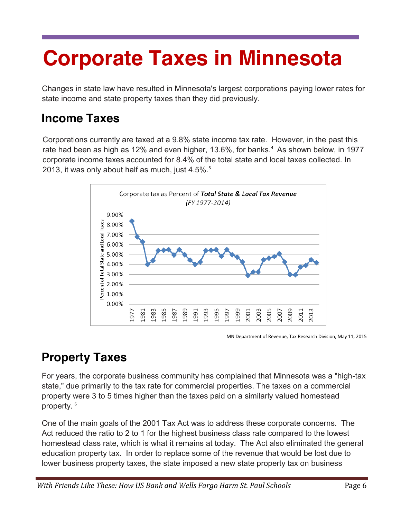# <span id="page-5-0"></span>**Corporate Taxes in Minnesota**

Changes in state law have resulted in Minnesota's largest corporations paying lower rates for state income and state property taxes than they did previously.

### <span id="page-5-1"></span>**Income Taxes**

Corporations currently are taxed at a 9.8% state income tax rate. However, in the past this rate had been as high as 12% and even higher, 13.6%, for banks.<sup>4</sup> As shown below, in 1977 corporate income taxes accounted for 8.4% of the total state and local taxes collected. In 2013, it was only about half as much, just  $4.5\%$ .<sup>5</sup>



MN Department of Revenue, Tax Research Division, May 11, 2015

## <span id="page-5-2"></span>**Property Taxes**

For years, the corporate business community has complained that Minnesota was a "high-tax state," due primarily to the tax rate for commercial properties. The taxes on a commercial property were 3 to 5 times higher than the taxes paid on a similarly valued homestead property. <sup>6</sup>

One of the main goals of the 2001 Tax Act was to address these corporate concerns. The Act reduced the ratio to 2 to 1 for the highest business class rate compared to the lowest homestead class rate, which is what it remains at today. The Act also eliminated the general education property tax. In order to replace some of the revenue that would be lost due to lower business property taxes, the state imposed a new state property tax on business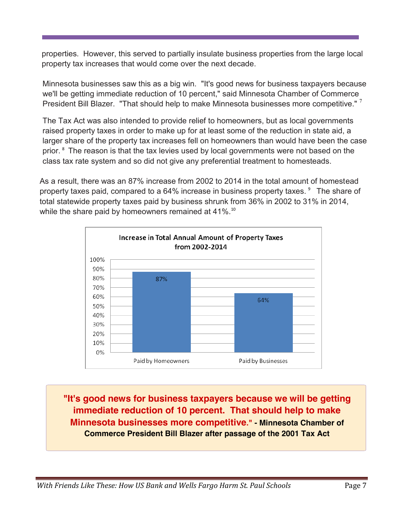properties. However, this served to partially insulate business properties from the large local property tax increases that would come over the next decade.

Minnesota businesses saw this as a big win. "It's good news for business taxpayers because we'll be getting immediate reduction of 10 percent," said Minnesota Chamber of Commerce President Bill Blazer. "That should help to make Minnesota businesses more competitive."  $^7$ 

The Tax Act was also intended to provide relief to homeowners, but as local governments raised property taxes in order to make up for at least some of the reduction in state aid, a larger share of the property tax increases fell on homeowners than would have been the case prior. <sup>8</sup> The reason is that the tax levies used by local governments were not based on the class tax rate system and so did not give any preferential treatment to homesteads.

As a result, there was an 87% increase from 2002 to 2014 in the total amount of homestead property taxes paid, compared to a  $64\%$  increase in business property taxes.  $9$  The share of total statewide property taxes paid by business shrunk from 36% in 2002 to 31% in 2014, while the share paid by homeowners remained at 41%.<sup>10</sup>



**"It's good news for business taxpayers because we will be getting immediate reduction of 10 percent. That should help to make Minnesota businesses more competitive." - Minnesota Chamber of Commerce President Bill Blazer after passage of the 2001 Tax Act**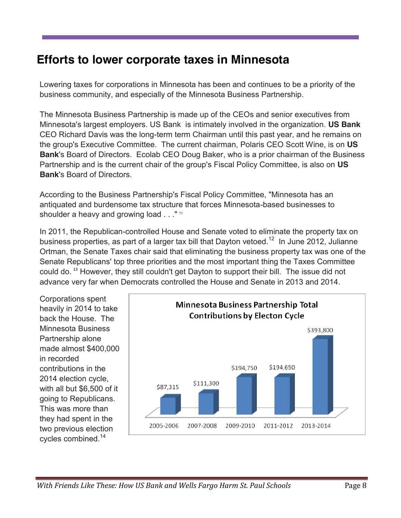### <span id="page-7-0"></span>**Efforts to lower corporate taxes in Minnesota**

Lowering taxes for corporations in Minnesota has been and continues to be a priority of the business community, and especially of the Minnesota Business Partnership.

The Minnesota Business Partnership is made up of the CEOs and senior executives from Minnesota's largest employers. US Bank is intimately involved in the organization. **US Bank** CEO Richard Davis was the long-term term Chairman until this past year, and he remains on the group's Executive Committee. The current chairman, Polaris CEO Scott Wine, is on **US Bank**'s Board of Directors. Ecolab CEO Doug Baker, who is a prior chairman of the Business Partnership and is the current chair of the group's Fiscal Policy Committee, is also on **US Bank**'s Board of Directors.

According to the Business Partnership's Fiscal Policy Committee, "Minnesota has an antiquated and burdensome tax structure that forces Minnesota-based businesses to shoulder a heavy and growing load . . . "<sup>11</sup>

In 2011, the Republican-controlled House and Senate voted to eliminate the property tax on business properties, as part of a larger tax bill that Dayton vetoed.<sup>12</sup> In June 2012, Julianne Ortman, the Senate Taxes chair said that eliminating the business property tax was one of the Senate Republicans' top three priorities and the most important thing the Taxes Committee could do.<sup>13</sup> However, they still couldn't get Dayton to support their bill. The issue did not advance very far when Democrats controlled the House and Senate in 2013 and 2014.

Corporations spent heavily in 2014 to take back the House. The Minnesota Business Partnership alone made almost \$400,000 in recorded contributions in the 2014 election cycle, with all but \$6,500 of it going to Republicans. This was more than they had spent in the two previous election cycles combined.14

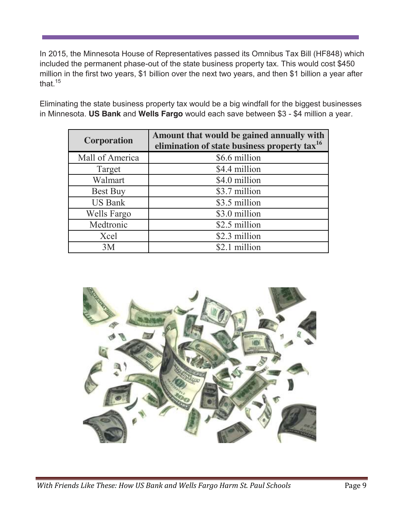In 2015, the Minnesota House of Representatives passed its Omnibus Tax Bill (HF848) which included the permanent phase-out of the state business property tax. This would cost \$450 million in the first two years, \$1 billion over the next two years, and then \$1 billion a year after that.<sup>15</sup>

Eliminating the state business property tax would be a big windfall for the biggest businesses in Minnesota. **US Bank** and **Wells Fargo** would each save between \$3 - \$4 million a year.

| <b>Corporation</b> | Amount that would be gained annually with<br>elimination of state business property tax <sup>16</sup> |  |  |
|--------------------|-------------------------------------------------------------------------------------------------------|--|--|
| Mall of America    | \$6.6 million                                                                                         |  |  |
| Target             | \$4.4 million                                                                                         |  |  |
| Walmart            | \$4.0 million                                                                                         |  |  |
| <b>Best Buy</b>    | \$3.7 million                                                                                         |  |  |
| <b>US Bank</b>     | \$3.5 million                                                                                         |  |  |
| Wells Fargo        | \$3.0 million                                                                                         |  |  |
| Medtronic          | \$2.5 million                                                                                         |  |  |
| Xcel               | \$2.3 million                                                                                         |  |  |
| 3M                 | \$2.1 million                                                                                         |  |  |

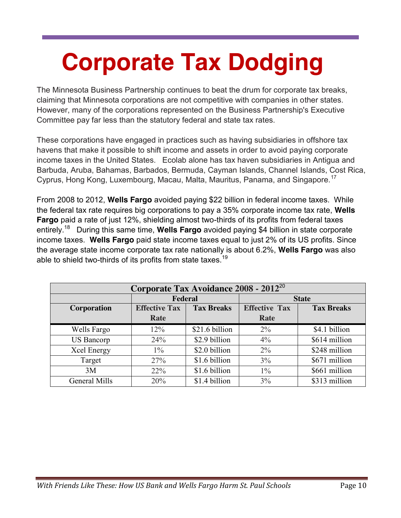# <span id="page-9-0"></span>**Corporate Tax Dodging**

The Minnesota Business Partnership continues to beat the drum for corporate tax breaks, claiming that Minnesota corporations are not competitive with companies in other states. However, many of the corporations represented on the Business Partnership's Executive Committee pay far less than the statutory federal and state tax rates.

These corporations have engaged in practices such as having subsidiaries in offshore tax havens that make it possible to shift income and assets in order to avoid paying corporate income taxes in the United States. Ecolab alone has tax haven subsidiaries in Antigua and Barbuda, Aruba, Bahamas, Barbados, Bermuda, Cayman Islands, Channel Islands, Cost Rica, Cyprus, Hong Kong, Luxembourg, Macau, Malta, Mauritus, Panama, and Singapore.<sup>17</sup>

From 2008 to 2012, **Wells Fargo** avoided paying \$22 billion in federal income taxes. While the federal tax rate requires big corporations to pay a 35% corporate income tax rate, **Wells Fargo** paid a rate of just 12%, shielding almost two-thirds of its profits from federal taxes entirely.18 During this same time, **Wells Fargo** avoided paying \$4 billion in state corporate income taxes. **Wells Fargo** paid state income taxes equal to just 2% of its US profits. Since the average state income corporate tax rate nationally is about 6.2%, **Wells Fargo** was also able to shield two-thirds of its profits from state taxes.<sup>19</sup>

| Corporate Tax Avoidance 2008 - 2012 <sup>20</sup> |                      |                   |                      |                   |  |  |
|---------------------------------------------------|----------------------|-------------------|----------------------|-------------------|--|--|
|                                                   | Federal              |                   | <b>State</b>         |                   |  |  |
| <b>Corporation</b>                                | <b>Effective Tax</b> | <b>Tax Breaks</b> | <b>Effective Tax</b> | <b>Tax Breaks</b> |  |  |
|                                                   | Rate                 |                   | Rate                 |                   |  |  |
| Wells Fargo                                       | 12%                  | \$21.6 billion    | $2\%$                | \$4.1 billion     |  |  |
| <b>US Bancorp</b>                                 | 24%                  | \$2.9 billion     | $4\%$                | \$614 million     |  |  |
| Xcel Energy                                       | $1\%$                | \$2.0 billion     | $2\%$                | \$248 million     |  |  |
| Target                                            | 27%                  | \$1.6 billion     | 3%                   | \$671 million     |  |  |
| 3M                                                | $22\%$               | \$1.6 billion     | $1\%$                | \$661 million     |  |  |
| General Mills                                     | 20%                  | \$1.4 billion     | 3%                   | \$313 million     |  |  |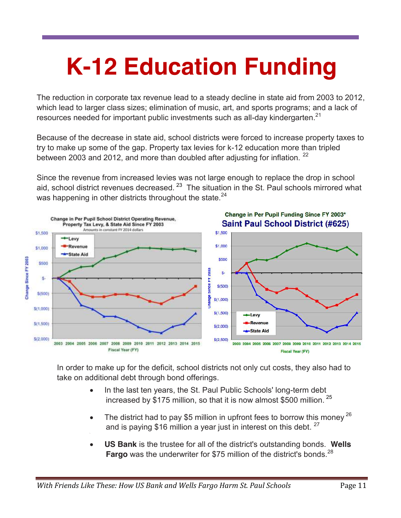# <span id="page-10-0"></span>**K-12 Education Funding**

The reduction in corporate tax revenue lead to a steady decline in state aid from 2003 to 2012, which lead to larger class sizes; elimination of music, art, and sports programs; and a lack of resources needed for important public investments such as all-day kindergarten.<sup>21</sup>

Because of the decrease in state aid, school districts were forced to increase property taxes to try to make up some of the gap. Property tax levies for k-12 education more than tripled between 2003 and 2012, and more than doubled after adjusting for inflation. <sup>22</sup>

Since the revenue from increased levies was not large enough to replace the drop in school aid, school district revenues decreased.  $2^3$  The situation in the St. Paul schools mirrored what was happening in other districts throughout the state.<sup>24</sup>



In order to make up for the deficit, school districts not only cut costs, they also had to take on additional debt through bond offerings.

- In the last ten years, the St. Paul Public Schools' long-term debt increased by \$175 million, so that it is now almost \$500 million.<sup>25</sup>
- The district had to pay \$5 million in upfront fees to borrow this money  $^{26}$ and is paying \$16 million a year just in interest on this debt.  $27 \overline{ }$
- x **US Bank** is the trustee for all of the district's outstanding bonds. **Wells**  Fargo was the underwriter for \$75 million of the district's bonds.<sup>28</sup>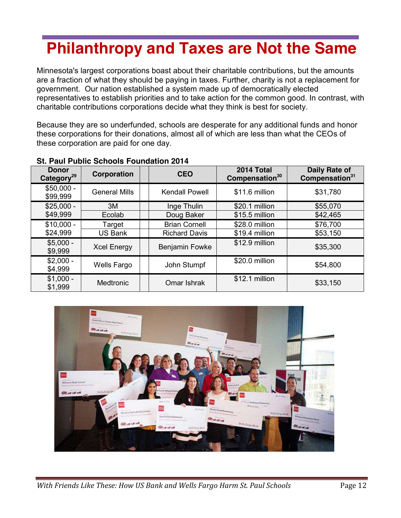## <span id="page-11-0"></span>**Philanthropy and Taxes are Not the Same**

Minnesota's largest corporations boast about their charitable contributions, but the amounts are a fraction of what they should be paying in taxes. Further, charity is not a replacement for government. Our nation established a system made up of democratically elected representatives to establish priorities and to take action for the common good. In contrast, with charitable contributions corporations decide what they think is best for society.

Because they are so underfunded, schools are desperate for any additional funds and honor these corporations for their donations, almost all of which are less than what the CEOs of these corporation are paid for one day.

| <b>Donor</b><br>Category <sup>29</sup> | Corporation          | <b>CEO</b>                    | 2014 Total<br>Compensation <sup>30</sup> | Daily Rate of<br>Compensation <sup>31</sup> |
|----------------------------------------|----------------------|-------------------------------|------------------------------------------|---------------------------------------------|
| $$50,000 -$<br>\$99,999                | <b>General Mills</b> | <b>Kendall Powell</b>         | \$11.6 million                           | \$31,780                                    |
| $$25,000 -$                            | 3M                   | Inge Thulin                   | \$20.1 million                           | \$55,070                                    |
| \$49,999                               | Ecolab               | Doug Baker                    | \$15.5 million                           | \$42,465                                    |
| $$10,000 -$                            | Target               | <b>Brian Cornell</b>          | \$28.0 million                           | \$76,700                                    |
| \$24,999                               | <b>US Bank</b>       | <b>Richard Davis</b>          | \$19.4 million                           | \$53,150                                    |
| $$5,000 -$<br>\$9,999                  | <b>Xcel Energy</b>   | Benjamin Fowke                | \$12.9 million                           | \$35,300                                    |
| $$2,000 -$<br>\$4,999                  | <b>Wells Fargo</b>   | \$20.0 million<br>John Stumpf |                                          | \$54,800                                    |
| $$1,000 -$<br>\$1,999                  | <b>Medtronic</b>     | Omar Ishrak                   | \$12.1 million                           | \$33,150                                    |

#### **St. Paul Public Schools Foundation 2014**

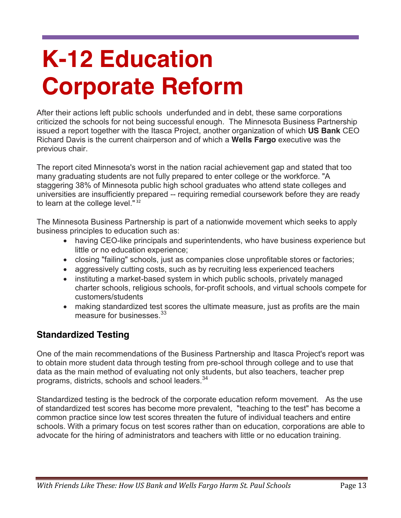# <span id="page-12-1"></span><span id="page-12-0"></span>**K-12 Education Corporate Reform**

After their actions left public schools underfunded and in debt, these same corporations criticized the schools for not being successful enough. The Minnesota Business Partnership issued a report together with the Itasca Project, another organization of which **US Bank** CEO Richard Davis is the current chairperson and of which a **Wells Fargo** executive was the previous chair.

The report cited Minnesota's worst in the nation racial achievement gap and stated that too many graduating students are not fully prepared to enter college or the workforce. "A staggering 38% of Minnesota public high school graduates who attend state colleges and universities are insufficiently prepared -- requiring remedial coursework before they are ready to learn at the college level."<sup>32</sup>

The Minnesota Business Partnership is part of a nationwide movement which seeks to apply business principles to education such as:

- having CEO-like principals and superintendents, who have business experience but little or no education experience;
- closing "failing" schools, just as companies close unprofitable stores or factories;
- aggressively cutting costs, such as by recruiting less experienced teachers
- instituting a market-based system in which public schools, privately managed charter schools, religious schools, for-profit schools, and virtual schools compete for customers/students
- making standardized test scores the ultimate measure, just as profits are the main measure for businesses.<sup>33</sup>

### <span id="page-12-2"></span>**Standardized Testing**

One of the main recommendations of the Business Partnership and Itasca Project's report was to obtain more student data through testing from pre-school through college and to use that data as the main method of evaluating not only students, but also teachers, teacher prep programs, districts, schools and school leaders.<sup>34</sup>

Standardized testing is the bedrock of the corporate education reform movement. As the use of standardized test scores has become more prevalent, "teaching to the test" has become a common practice since low test scores threaten the future of individual teachers and entire schools. With a primary focus on test scores rather than on education, corporations are able to advocate for the hiring of administrators and teachers with little or no education training.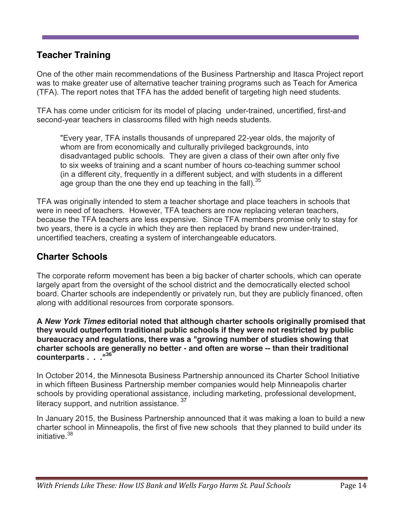### <span id="page-13-0"></span>**Teacher Training**

One of the other main recommendations of the Business Partnership and Itasca Project report was to make greater use of alternative teacher training programs such as Teach for America (TFA). The report notes that TFA has the added benefit of targeting high need students.

TFA has come under criticism for its model of placing under-trained, uncertified, first-and second-year teachers in classrooms filled with high needs students.

"Every year, TFA installs thousands of unprepared 22-year olds, the majority of whom are from economically and culturally privileged backgrounds, into disadvantaged public schools. They are given a class of their own after only five to six weeks of training and a scant number of hours co-teaching summer school (in a different city, frequently in a different subject, and with students in a different age group than the one they end up teaching in the fall).  $35$ 

TFA was originally intended to stem a teacher shortage and place teachers in schools that were in need of teachers. However, TFA teachers are now replacing veteran teachers, because the TFA teachers are less expensive. Since TFA members promise only to stay for two years, there is a cycle in which they are then replaced by brand new under-trained, uncertified teachers, creating a system of interchangeable educators.

### <span id="page-13-1"></span>**Charter Schools**

The corporate reform movement has been a big backer of charter schools, which can operate largely apart from the oversight of the school district and the democratically elected school board. Charter schools are independently or privately run, but they are publicly financed, often along with additional resources from corporate sponsors.

**A** *New York Times* **editorial noted that although charter schools originally promised that they would outperform traditional public schools if they were not restricted by public bureaucracy and regulations, there was a "growing number of studies showing that charter schools are generally no better - and often are worse -- than their traditional counterparts . . ."36**

In October 2014, the Minnesota Business Partnership announced its Charter School Initiative in which fifteen Business Partnership member companies would help Minneapolis charter schools by providing operational assistance, including marketing, professional development, literacy support, and nutrition assistance. <sup>37</sup>

In January 2015, the Business Partnership announced that it was making a loan to build a new charter school in Minneapolis, the first of five new schools that they planned to build under its initiative.<sup>38</sup>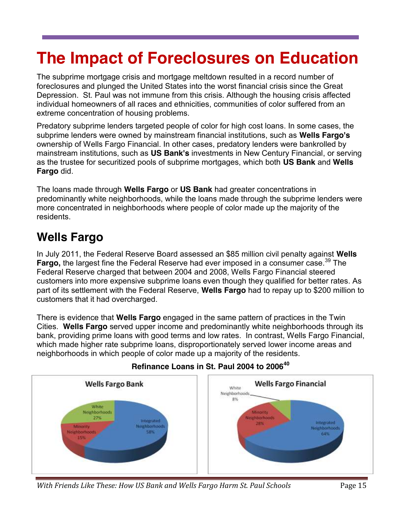## <span id="page-14-0"></span>**The Impact of Foreclosures on Education**

The subprime mortgage crisis and mortgage meltdown resulted in a record number of foreclosures and plunged the United States into the worst financial crisis since the Great Depression. St. Paul was not immune from this crisis. Although the housing crisis affected individual homeowners of all races and ethnicities, communities of color suffered from an extreme concentration of housing problems.

Predatory subprime lenders targeted people of color for high cost loans. In some cases, the subprime lenders were owned by mainstream financial institutions, such as **Wells Fargo's**  ownership of Wells Fargo Financial. In other cases, predatory lenders were bankrolled by mainstream institutions, such as **US Bank's** investments in New Century Financial, or serving as the trustee for securitized pools of subprime mortgages, which both **US Bank** and **Wells Fargo** did.

The loans made through **Wells Fargo** or **US Bank** had greater concentrations in predominantly white neighborhoods, while the loans made through the subprime lenders were more concentrated in neighborhoods where people of color made up the majority of the residents.

### <span id="page-14-1"></span>**Wells Fargo**

In July 2011, the Federal Reserve Board assessed an \$85 million civil penalty against **Wells**  Fargo, the largest fine the Federal Reserve had ever imposed in a consumer case.<sup>39</sup> The Federal Reserve charged that between 2004 and 2008, Wells Fargo Financial steered customers into more expensive subprime loans even though they qualified for better rates. As part of its settlement with the Federal Reserve, **Wells Fargo** had to repay up to \$200 million to customers that it had overcharged.

There is evidence that **Wells Fargo** engaged in the same pattern of practices in the Twin Cities. **Wells Fargo** served upper income and predominantly white neighborhoods through its bank, providing prime loans with good terms and low rates. In contrast, Wells Fargo Financial, which made higher rate subprime loans, disproportionately served lower income areas and neighborhoods in which people of color made up a majority of the residents.



### **Refinance Loans in St. Paul 2004 to 2006<sup>40</sup>**

*With Friends Like These: How US Bank and Wells Fargo Harm St. Paul Schools* Page 15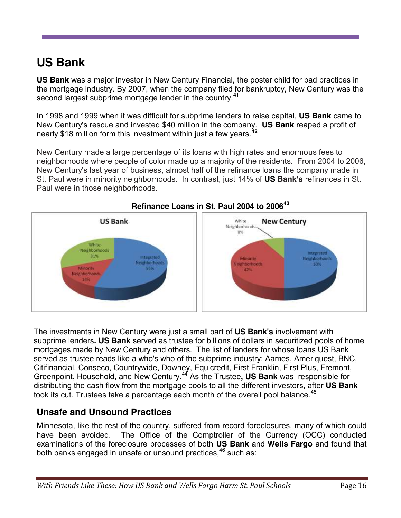## <span id="page-15-0"></span>**US Bank**

**US Bank** was a major investor in New Century Financial, the poster child for bad practices in the mortgage industry. By 2007, when the company filed for bankruptcy, New Century was the second largest subprime mortgage lender in the country.**<sup>41</sup>**

In 1998 and 1999 when it was difficult for subprime lenders to raise capital, **US Bank** came to New Century's rescue and invested \$40 million in the company. **US Bank** reaped a profit of nearly \$18 million form this investment within just a few years.**<sup>42</sup>**

New Century made a large percentage of its loans with high rates and enormous fees to neighborhoods where people of color made up a majority of the residents. From 2004 to 2006, New Century's last year of business, almost half of the refinance loans the company made in St. Paul were in minority neighborhoods. In contrast, just 14% of **US Bank's** refinances in St. Paul were in those neighborhoods.



The investments in New Century were just a small part of **US Bank's** involvement with subprime lenders**. US Bank** served as trustee for billions of dollars in securitized pools of home mortgages made by New Century and others. The list of lenders for whose loans US Bank served as trustee reads like a who's who of the subprime industry: Aames, Ameriquest, BNC, Citifinancial, Conseco, Countrywide, Downey, Equicredit, First Franklin, First Plus, Fremont, Greenpoint, Household, and New Century. <sup>44</sup> As the Trustee**, US Bank** was responsible for distributing the cash flow from the mortgage pools to all the different investors, after **US Bank** took its cut. Trustees take a percentage each month of the overall pool balance.<sup>45</sup>

### <span id="page-15-1"></span>**Unsafe and Unsound Practices**

Minnesota, like the rest of the country, suffered from record foreclosures, many of which could have been avoided. The Office of the Comptroller of the Currency (OCC) conducted examinations of the foreclosure processes of both **US Bank** and **Wells Fargo** and found that both banks engaged in unsafe or unsound practices,<sup>46</sup> such as: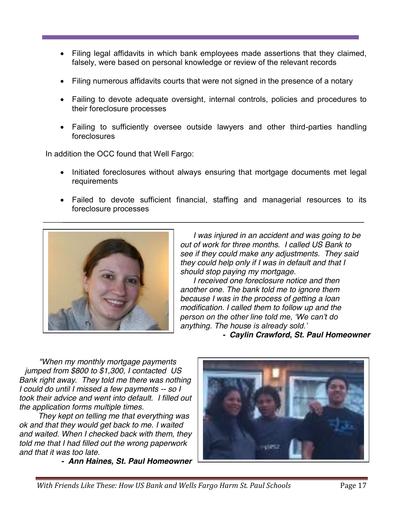- Filing legal affidavits in which bank employees made assertions that they claimed, falsely, were based on personal knowledge or review of the relevant records
- Filing numerous affidavits courts that were not signed in the presence of a notary
- Failing to devote adequate oversight, internal controls, policies and procedures to their foreclosure processes
- Failing to sufficiently oversee outside lawyers and other third-parties handling foreclosures

In addition the OCC found that Well Fargo:

- Initiated foreclosures without always ensuring that mortgage documents met legal requirements
- Failed to devote sufficient financial, staffing and managerial resources to its foreclosure processes



 *I was injured in an accident and was going to be out of work for three months. I called US Bank to see if they could make any adjustments. They said they could help only if I was in default and that I should stop paying my mortgage.* 

 *I received one foreclosure notice and then another one. The bank told me to ignore them because I was in the process of getting a loan modification. I called them to follow up and the person on the other line told me, 'We can't do anything. The house is already sold.'*

*- Caylin Crawford, St. Paul Homeowner*

*"When my monthly mortgage payments jumped from \$800 to \$1,300, I contacted US Bank right away. They told me there was nothing I could do until I missed a few payments -- so I took their advice and went into default. I filled out the application forms multiple times.*

 *They kept on telling me that everything was ok and that they would get back to me. I waited and waited. When I checked back with them, they told me that I had filled out the wrong paperwork and that it was too late.* 

*- Ann Haines, St. Paul Homeowner*

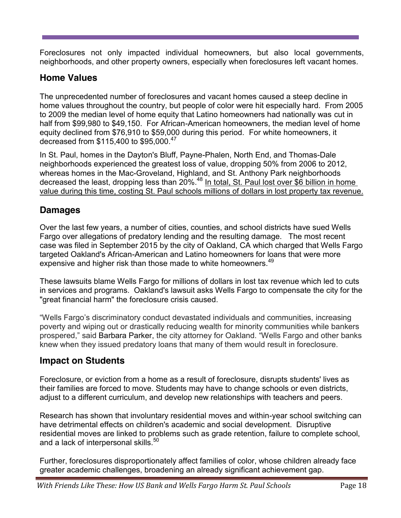Foreclosures not only impacted individual homeowners, but also local governments, neighborhoods, and other property owners, especially when foreclosures left vacant homes.

### <span id="page-17-0"></span>**Home Values**

The unprecedented number of foreclosures and vacant homes caused a steep decline in home values throughout the country, but people of color were hit especially hard. From 2005 to 2009 the median level of home equity that Latino homeowners had nationally was cut in half from \$99,980 to \$49,150. For African-American homeowners, the median level of home equity declined from \$76,910 to \$59,000 during this period. For white homeowners, it decreased from \$115,400 to \$95,000.<sup>47</sup>

In St. Paul, homes in the Dayton's Bluff, Payne-Phalen, North End, and Thomas-Dale neighborhoods experienced the greatest loss of value, dropping 50% from 2006 to 2012, whereas homes in the Mac-Groveland, Highland, and St. Anthony Park neighborhoods decreased the least, dropping less than 20%.<sup>48</sup> In total, St. Paul lost over \$6 billion in home value during this time, costing St. Paul schools millions of dollars in lost property tax revenue.

### <span id="page-17-1"></span>**Damages**

Over the last few years, a number of cities, counties, and school districts have sued Wells Fargo over allegations of predatory lending and the resulting damage. The most recent case was filed in September 2015 by the city of Oakland, CA which charged that Wells Fargo targeted Oakland's African-American and Latino homeowners for loans that were more expensive and higher risk than those made to white homeowners.<sup>49</sup>

These lawsuits blame Wells Fargo for millions of dollars in lost tax revenue which led to cuts in services and programs. Oakland's lawsuit asks Wells Fargo to compensate the city for the "great financial harm" the foreclosure crisis caused.

"Wells Fargo's discriminatory conduct devastated individuals and communities, increasing poverty and wiping out or drastically reducing wealth for minority communities while bankers prospered," said Barbara Parker, the city attorney for Oakland. "Wells Fargo and other banks knew when they issued predatory loans that many of them would result in foreclosure.

### <span id="page-17-2"></span>**Impact on Students**

Foreclosure, or eviction from a home as a result of foreclosure, disrupts students' lives as their families are forced to move. Students may have to change schools or even districts, adjust to a different curriculum, and develop new relationships with teachers and peers.

Research has shown that involuntary residential moves and within-year school switching can have detrimental effects on children's academic and social development. Disruptive residential moves are linked to problems such as grade retention, failure to complete school, and a lack of interpersonal skills. $50$ 

Further, foreclosures disproportionately affect families of color, whose children already face greater academic challenges, broadening an already significant achievement gap.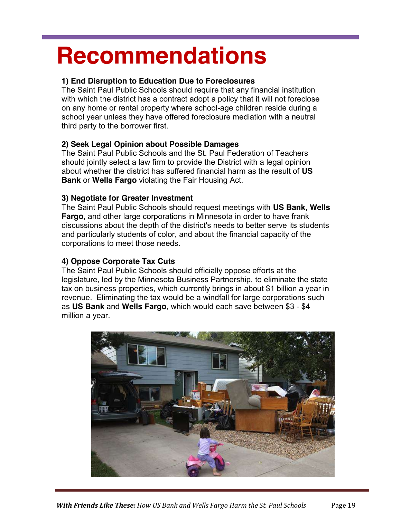## <span id="page-18-0"></span>**Recommendations**

#### **1) End Disruption to Education Due to Foreclosures**

The Saint Paul Public Schools should require that any financial institution with which the district has a contract adopt a policy that it will not foreclose on any home or rental property where school-age children reside during a school year unless they have offered foreclosure mediation with a neutral third party to the borrower first.

#### **2) Seek Legal Opinion about Possible Damages**

The Saint Paul Public Schools and the St. Paul Federation of Teachers should jointly select a law firm to provide the District with a legal opinion about whether the district has suffered financial harm as the result of **US Bank** or **Wells Fargo** violating the Fair Housing Act.

#### **3) Negotiate for Greater Investment**

The Saint Paul Public Schools should request meetings with **US Bank**, **Wells Fargo**, and other large corporations in Minnesota in order to have frank discussions about the depth of the district's needs to better serve its students and particularly students of color, and about the financial capacity of the corporations to meet those needs.

### **4) Oppose Corporate Tax Cuts**

The Saint Paul Public Schools should officially oppose efforts at the legislature, led by the Minnesota Business Partnership, to eliminate the state tax on business properties, which currently brings in about \$1 billion a year in revenue. Eliminating the tax would be a windfall for large corporations such as **US Bank** and **Wells Fargo**, which would each save between \$3 - \$4 million a year.

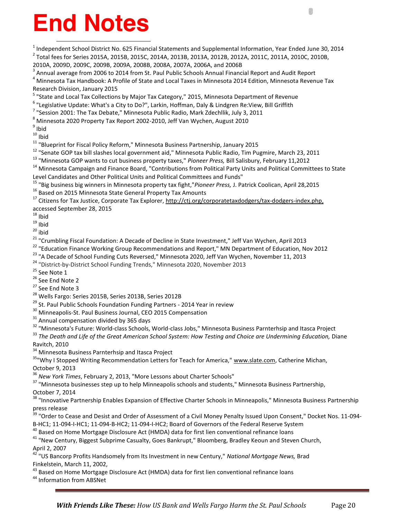# <span id="page-19-0"></span>**End Notes**

<sup>1</sup> Independent School District No. 625 Financial Statements and Supplemental Information, Year Ended June 30, 2014<br><sup>2</sup> Total fees for Series 2015A, 2015B, 2015C, 2014A, 2013B, 2013A, 2012B, 2012A, 2011C, 2011A, 2010C, 20 2010A, 2009D, 2009C, 2009B, 2009A, 2008B, 2008A, 2007A, 2006A, and 2006B<br><sup>3</sup> Annual average from 2006 to 2014 from St. Paul Public Schools Annual Financial Report and Audit Report<br><sup>4</sup> Minnesota Tax Handbook: A Profile of S Research Division, January 2015 <sup>5</sup> "State and Local Tax Collections by Major Tax Category," 2015, Minnesota Department of Revenue<br><sup>6</sup> "Legislative Update: What's a City to Do?", Larkin, Hoffman, Daly & Lindgren Re:View, Bill Griffith<br><sup>7</sup> "Session 2001: <sup>8</sup> Minnesota 2020 Property Tax Report 2002-2010, Jeff Van Wychen, August 2010<br><sup>9</sup> Ibid<br><sup>10</sup> Ibid <sup>11</sup> "Blueprint for Fiscal Policy Reform," Minnesota Business Partnership, January 2015<br><sup>12</sup> "Senate GOP tax bill slashes local government aid," Minnesota Public Radio, Tim Pugmire, March 23, 2011<br><sup>13</sup> "Minnesota GOP want Level Candidates and Other Political Units and Political Committees and Funds"<br><sup>15</sup> "Big business big winners in Minnesota property tax fight,"*Pioneer Press*, J. Patrick Coolican, April 28,2015<br><sup>16</sup> Based on 2015 Minnesot accessed September 28, 2015<br><sup>18</sup> Ibid <sup>18</sup> lbid<br><sup>28</sup> lbid<br><sup>20</sup> lbid<br><sup>22</sup> "Education Finance Working Group Recommendations and Report," MN Department of Education, Nov 2012<br><sup>23</sup> "Education Finance Working Group Recommendations and Report," MN Department of Educ Ravitch, 2010<br><sup>34</sup> Minnesota Business Parnterhsip and Itasca Project <sup>35</sup> Why I Stopped Writing Recommendation Letters for Teach for America," www.slate.com, Catherine Michan, October 9, 2013<br><sup>36</sup> New York Times, February 2, 2013, "More Lessons about Charter Schools" <sup>37</sup> "Minnesota businesses step up to help Minneapolis schools and students," Minnesota Business Partnership, October 7, 2014 <sup>38</sup> "Innovative Partnership Enables Expansion of Effective Charter Schools in Minneapolis," Minnesota Business Partnership press release <sup>39</sup> "Order to Cease and Desist and Order of Assessment of a Civil Money Penalty Issued Upon Consent," Docket Nos. 11-094-

B-HC1; 11-094-I-HC1; 11-094-B-HC2; 11-094-I-HC2; Board of Governors of the Federal Reserve System<br><sup>40</sup> Based on Home Mortgage Disclosure Act (HMDA) data for first lien conventional refinance loans<br><sup>41</sup> "New Century, Bigges April 2, 2007

<sup>42</sup> "US Bancorp Profits Handsomely from Its Investment in new Century," *National Mortgage News,* Brad Finkelstein, March 11, 2002,

 $^{43}$  Based on Home Mortgage Disclosure Act (HMDA) data for first lien conventional refinance loans  $^{44}$  Information from ABSNet